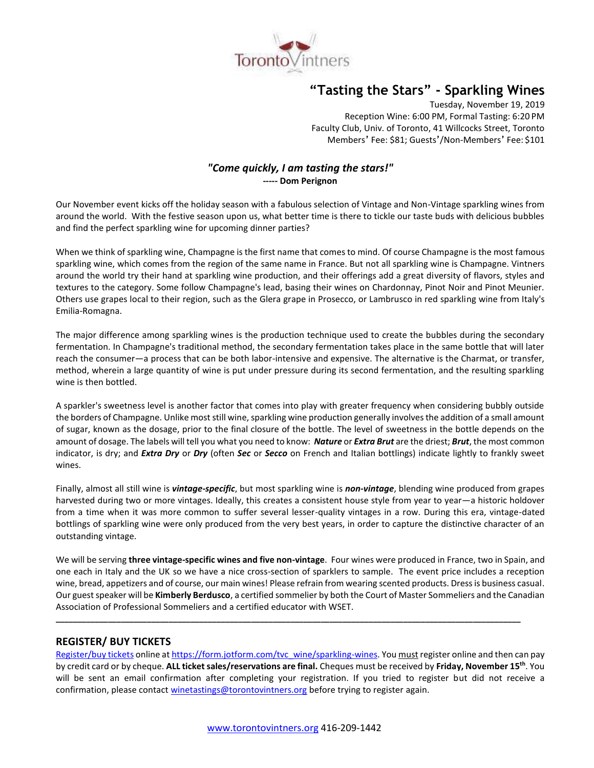

# **"Tasting the Stars" - Sparkling Wines**

Tuesday, November 19, 2019 Reception Wine: 6:00 PM, Formal Tasting: 6:20 PM Faculty Club, Univ. of Toronto, 41 Willcocks Street, Toronto Members' Fee: \$81; Guests'/Non-Members' Fee: \$101

# *"Come quickly, I am tasting the stars!"* **----- Dom Perignon**

Our November event kicks off the holiday season with a fabulous selection of Vintage and Non-Vintage sparkling wines from around the world. With the festive season upon us, what better time is there to tickle our taste buds with delicious bubbles and find the perfect sparkling wine for upcoming dinner parties?

When we think of sparkling wine, Champagne is the first name that comes to mind. Of course Champagne is the most famous sparkling wine, which comes from the region of the same name in France. But not all sparkling wine is Champagne. Vintners around the world try their hand at sparkling wine production, and their offerings add a great diversity of flavors, styles and textures to the category. Some follow Champagne's lead, basing their wines on Chardonnay, Pinot Noir and Pinot Meunier. Others use grapes local to their region, such as the Glera grape in Prosecco, or Lambrusco in red sparkling wine from Italy's Emilia-Romagna.

The major difference among sparkling wines is the production technique used to create the bubbles during the secondary fermentation. In Champagne's traditional method, the secondary fermentation takes place in the same bottle that will later reach the consumer—a process that can be both labor-intensive and expensive. The alternative is the Charmat, or transfer, method, wherein a large quantity of wine is put under pressure during its second fermentation, and the resulting sparkling wine is then bottled.

A sparkler's sweetness level is another factor that comes into play with greater frequency when considering bubbly outside the borders of Champagne. Unlike most still wine, sparkling wine production generally involves the addition of a small amount of sugar, known as the dosage, prior to the final closure of the bottle. The level of sweetness in the bottle depends on the amount of dosage. The labels will tell you what you need to know: *Nature* or *Extra Brut* are the driest; *Brut*, the most common indicator, is dry; and *Extra Dry* or *Dry* (often *Sec* or *Secco* on French and Italian bottlings) indicate lightly to frankly sweet wines.

Finally, almost all still wine is *vintage-specific*, but most sparkling wine is *non-vintage*, blending wine produced from grapes harvested during two or more vintages. Ideally, this creates a consistent house style from year to year—a historic holdover from a time when it was more common to suffer several lesser-quality vintages in a row. During this era, vintage-dated bottlings of sparkling wine were only produced from the very best years, in order to capture the distinctive character of an outstanding vintage.

We will be serving **three vintage-specific wines and five non-vintage**. Four wines were produced in France, two in Spain, and one each in Italy and the UK so we have a nice cross-section of sparklers to sample. The event price includes a reception wine, bread, appetizers and of course, our main wines! Please refrain from wearing scented products. Dress is business casual. Our guest speaker will be **Kimberly Berdusco**, a certified sommelier by both the Court of Master Sommeliers and the Canadian Association of Professional Sommeliers and a certified educator with WSET.

**\_\_\_\_\_\_\_\_\_\_\_\_\_\_\_\_\_\_\_\_\_\_\_\_\_\_\_\_\_\_\_\_\_\_\_\_\_\_\_\_\_\_\_\_\_\_\_\_\_\_\_\_\_\_\_\_\_\_\_\_\_\_\_\_\_\_\_\_\_\_\_\_\_\_\_\_\_\_\_\_\_\_\_\_\_\_\_\_\_\_\_\_\_\_\_\_\_\_\_\_\_\_\_\_\_\_\_**

## **REGISTER/ BUY TICKETS**

[Register/buy tickets](https://form.jotform.com/tvc_wine/sparkling-wines) online at [https://form.jotform.com/tvc\\_wine/sparkling-wines.](https://form.jotform.com/tvc_wine/sparkling-wines) You must register online and then can pay by credit card or by cheque. **ALL ticket sales/reservations are final.** Cheques must be received by **Friday, November 15th** . You will be sent an email confirmation after completing your registration. If you tried to register but did not receive a confirmation, please contact [winetastings@torontovintners.org](mailto:winetastings@torontovintners.org) before trying to register again.